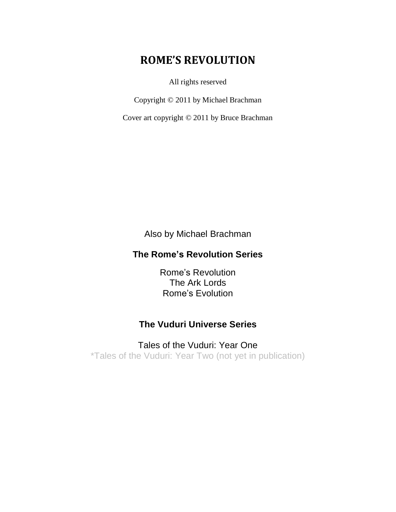# **ROME'S REVOLUTION**

All rights reserved

Copyright © 2011 by Michael Brachman

Cover art copyright © 2011 by Bruce Brachman

Also by Michael Brachman

## **The Rome's Revolution Series**

Rome's Revolution The Ark Lords Rome's Evolution

### **The Vuduri Universe Series**

Tales of the Vuduri: Year One \*Tales of the Vuduri: Year Two (not yet in publication)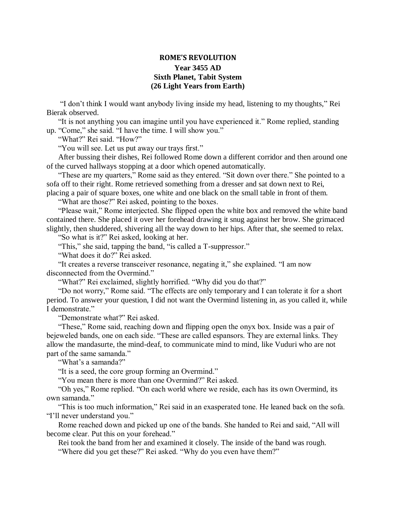#### **ROME'S REVOLUTION Year 3455 AD Sixth Planet, Tabit System (26 Light Years from Earth)**

"I don't think I would want anybody living inside my head, listening to my thoughts," Rei Bierak observed.

"It is not anything you can imagine until you have experienced it." Rome replied, standing up. "Come," she said. "I have the time. I will show you."

"What?" Rei said. "How?"

"You will see. Let us put away our trays first."

After bussing their dishes, Rei followed Rome down a different corridor and then around one of the curved hallways stopping at a door which opened automatically.

"These are my quarters," Rome said as they entered. "Sit down over there." She pointed to a sofa off to their right. Rome retrieved something from a dresser and sat down next to Rei, placing a pair of square boxes, one white and one black on the small table in front of them.

"What are those?" Rei asked, pointing to the boxes.

"Please wait," Rome interjected. She flipped open the white box and removed the white band contained there. She placed it over her forehead drawing it snug against her brow. She grimaced slightly, then shuddered, shivering all the way down to her hips. After that, she seemed to relax.

"So what is it?" Rei asked, looking at her.

"This," she said, tapping the band, "is called a T-suppressor."

"What does it do?" Rei asked.

"It creates a reverse transceiver resonance, negating it," she explained. "I am now disconnected from the Overmind."

"What?" Rei exclaimed, slightly horrified. "Why did you do that?"

"Do not worry," Rome said. "The effects are only temporary and I can tolerate it for a short period. To answer your question, I did not want the Overmind listening in, as you called it, while I demonstrate."

"Demonstrate what?" Rei asked.

"These," Rome said, reaching down and flipping open the onyx box. Inside was a pair of bejeweled bands, one on each side. "These are called espansors. They are external links. They allow the mandasurte, the mind-deaf, to communicate mind to mind, like Vuduri who are not part of the same samanda."

"What's a samanda?"

"It is a seed, the core group forming an Overmind."

"You mean there is more than one Overmind?" Rei asked.

"Oh yes," Rome replied. "On each world where we reside, each has its own Overmind, its own samanda."

"This is too much information," Rei said in an exasperated tone. He leaned back on the sofa. "I'll never understand you."

Rome reached down and picked up one of the bands. She handed to Rei and said, "All will become clear. Put this on your forehead."

Rei took the band from her and examined it closely. The inside of the band was rough.

"Where did you get these?" Rei asked. "Why do you even have them?"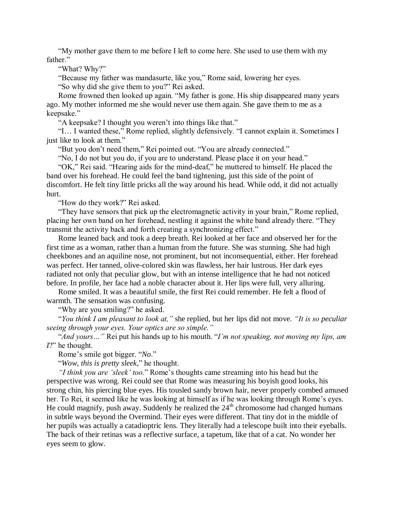"My mother gave them to me before I left to come here. She used to use them with my father."

"What? Why?"

"Because my father was mandasurte, like you," Rome said, lowering her eyes.

"So why did she give them to you?" Rei asked.

Rome frowned then looked up again. "My father is gone. His ship disappeared many years ago. My mother informed me she would never use them again. She gave them to me as a keepsake."

"A keepsake? I thought you weren't into things like that."

"I… I wanted these," Rome replied, slightly defensively. "I cannot explain it. Sometimes I just like to look at them."

"But you don't need them," Rei pointed out. "You are already connected."

"No, I do not but you do, if you are to understand. Please place it on your head."

"OK," Rei said. "Hearing aids for the mind-deaf," he muttered to himself. He placed the band over his forehead. He could feel the band tightening, just this side of the point of discomfort. He felt tiny little pricks all the way around his head. While odd, it did not actually hurt.

"How do they work?" Rei asked.

"They have sensors that pick up the electromagnetic activity in your brain," Rome replied, placing her own band on her forehead, nestling it against the white band already there. "They transmit the activity back and forth creating a synchronizing effect."

Rome leaned back and took a deep breath. Rei looked at her face and observed her for the first time as a woman, rather than a human from the future. She was stunning. She had high cheekbones and an aquiline nose, not prominent, but not inconsequential, either. Her forehead was perfect. Her tanned, olive-colored skin was flawless, her hair lustrous. Her dark eyes radiated not only that peculiar glow, but with an intense intelligence that he had not noticed before. In profile, her face had a noble character about it. Her lips were full, very alluring.

Rome smiled. It was a beautiful smile, the first Rei could remember. He felt a flood of warmth. The sensation was confusing.

"Why are you smiling?" he asked.

"*You think I am pleasant to look at,"* she replied, but her lips did not move. *"It is so peculiar seeing through your eyes. Your optics are so simple."*

"*And yours…"* Rei put his hands up to his mouth. "*I'm not speaking, not moving my lips, am I*?" he thought.

Rome's smile got bigger. "*No*."

"*Wow, this is pretty sleek*," he thought.

*"I think you are 'sleek' too*." Rome's thoughts came streaming into his head but the perspective was wrong. Rei could see that Rome was measuring his boyish good looks, his strong chin, his piercing blue eyes. His tousled sandy brown hair, never properly combed amused her. To Rei, it seemed like he was looking at himself as if he was looking through Rome's eyes. He could magnify, push away. Suddenly he realized the  $24<sup>th</sup>$  chromosome had changed humans in subtle ways beyond the Overmind. Their eyes were different. That tiny dot in the middle of her pupils was actually a catadioptric lens. They literally had a telescope built into their eyeballs. The back of their retinas was a reflective surface, a tapetum, like that of a cat. No wonder her eyes seem to glow.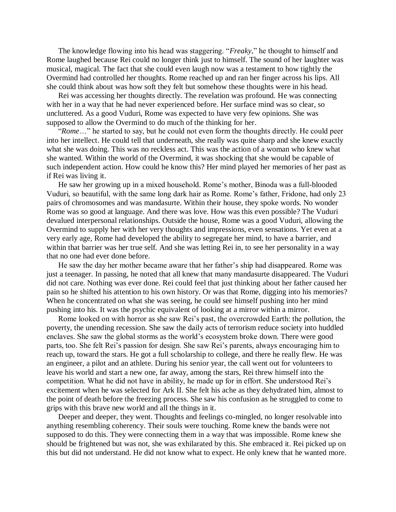The knowledge flowing into his head was staggering. "*Freaky*," he thought to himself and Rome laughed because Rei could no longer think just to himself. The sound of her laughter was musical, magical. The fact that she could even laugh now was a testament to how tightly the Overmind had controlled her thoughts. Rome reached up and ran her finger across his lips. All she could think about was how soft they felt but somehow these thoughts were in his head.

Rei was accessing her thoughts directly. The revelation was profound. He was connecting with her in a way that he had never experienced before. Her surface mind was so clear, so uncluttered. As a good Vuduri, Rome was expected to have very few opinions. She was supposed to allow the Overmind to do much of the thinking for her.

"*Rome*…" he started to say, but he could not even form the thoughts directly. He could peer into her intellect. He could tell that underneath, she really was quite sharp and she knew exactly what she was doing. This was no reckless act. This was the action of a woman who knew what she wanted. Within the world of the Overmind, it was shocking that she would be capable of such independent action. How could he know this? Her mind played her memories of her past as if Rei was living it.

He saw her growing up in a mixed household. Rome's mother, Binoda was a full-blooded Vuduri, so beautiful, with the same long dark hair as Rome. Rome's father, Fridone, had only 23 pairs of chromosomes and was mandasurte. Within their house, they spoke words. No wonder Rome was so good at language. And there was love. How was this even possible? The Vuduri devalued interpersonal relationships. Outside the house, Rome was a good Vuduri, allowing the Overmind to supply her with her very thoughts and impressions, even sensations. Yet even at a very early age, Rome had developed the ability to segregate her mind, to have a barrier, and within that barrier was her true self. And she was letting Rei in, to see her personality in a way that no one had ever done before.

He saw the day her mother became aware that her father's ship had disappeared. Rome was just a teenager. In passing, he noted that all knew that many mandasurte disappeared. The Vuduri did not care. Nothing was ever done. Rei could feel that just thinking about her father caused her pain so he shifted his attention to his own history. Or was that Rome, digging into his memories? When he concentrated on what she was seeing, he could see himself pushing into her mind pushing into his. It was the psychic equivalent of looking at a mirror within a mirror.

Rome looked on with horror as she saw Rei's past, the overcrowded Earth: the pollution, the poverty, the unending recession. She saw the daily acts of terrorism reduce society into huddled enclaves. She saw the global storms as the world's ecosystem broke down. There were good parts, too. She felt Rei's passion for design. She saw Rei's parents, always encouraging him to reach up, toward the stars. He got a full scholarship to college, and there he really flew. He was an engineer, a pilot and an athlete. During his senior year, the call went out for volunteers to leave his world and start a new one, far away, among the stars, Rei threw himself into the competition. What he did not have in ability, he made up for in effort. She understood Rei's excitement when he was selected for Ark II. She felt his ache as they dehydrated him, almost to the point of death before the freezing process. She saw his confusion as he struggled to come to grips with this brave new world and all the things in it.

Deeper and deeper, they went. Thoughts and feelings co-mingled, no longer resolvable into anything resembling coherency. Their souls were touching. Rome knew the bands were not supposed to do this. They were connecting them in a way that was impossible. Rome knew she should be frightened but was not, she was exhilarated by this. She embraced it. Rei picked up on this but did not understand. He did not know what to expect. He only knew that he wanted more.